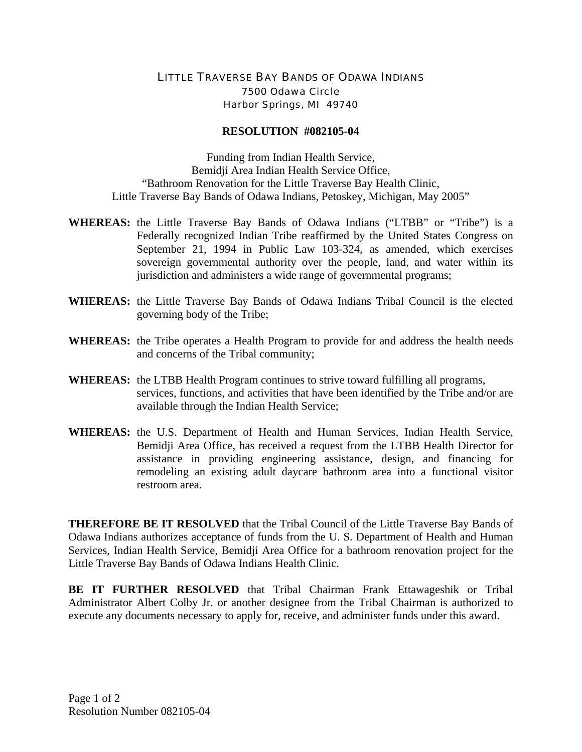## LITTLE TRAVERSE BAY BANDS OF ODAWA INDIANS 7500 Odawa Circle Harbor Springs, MI 49740

## **RESOLUTION #082105-04**

Funding from Indian Health Service, Bemidji Area Indian Health Service Office, "Bathroom Renovation for the Little Traverse Bay Health Clinic, Little Traverse Bay Bands of Odawa Indians, Petoskey, Michigan, May 2005"

- **WHEREAS:** the Little Traverse Bay Bands of Odawa Indians ("LTBB" or "Tribe") is a Federally recognized Indian Tribe reaffirmed by the United States Congress on September 21, 1994 in Public Law 103-324, as amended, which exercises sovereign governmental authority over the people, land, and water within its jurisdiction and administers a wide range of governmental programs;
- **WHEREAS:** the Little Traverse Bay Bands of Odawa Indians Tribal Council is the elected governing body of the Tribe;
- **WHEREAS:** the Tribe operates a Health Program to provide for and address the health needs and concerns of the Tribal community;
- **WHEREAS:** the LTBB Health Program continues to strive toward fulfilling all programs, services, functions, and activities that have been identified by the Tribe and/or are available through the Indian Health Service;
- **WHEREAS:** the U.S. Department of Health and Human Services, Indian Health Service, Bemidji Area Office, has received a request from the LTBB Health Director for assistance in providing engineering assistance, design, and financing for remodeling an existing adult daycare bathroom area into a functional visitor restroom area.

**THEREFORE BE IT RESOLVED** that the Tribal Council of the Little Traverse Bay Bands of Odawa Indians authorizes acceptance of funds from the U. S. Department of Health and Human Services, Indian Health Service, Bemidji Area Office for a bathroom renovation project for the Little Traverse Bay Bands of Odawa Indians Health Clinic.

**BE IT FURTHER RESOLVED** that Tribal Chairman Frank Ettawageshik or Tribal Administrator Albert Colby Jr. or another designee from the Tribal Chairman is authorized to execute any documents necessary to apply for, receive, and administer funds under this award.